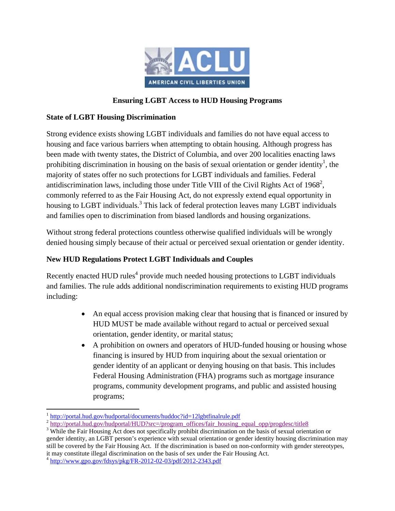

## **Ensuring LGBT Access to HUD Housing Programs**

## **State of LGBT Housing Discrimination**

Strong evidence exists showing LGBT individuals and families do not have equal access to housing and face various barriers when attempting to obtain housing. Although progress has been made with twenty states, the District of Columbia, and over 200 localities enacting laws prohibiting discrimination in housing on the basis of sexual orientation or gender identity<sup>1</sup>, the majority of states offer no such protections for LGBT individuals and families. Federal antidiscrimination laws, including those under Title VIII of the Civil Rights Act of 1968<sup>2</sup>, commonly referred to as the Fair Housing Act, do not expressly extend equal opportunity in housing to LGBT individuals.<sup>3</sup> This lack of federal protection leaves many LGBT individuals and families open to discrimination from biased landlords and housing organizations.

Without strong federal protections countless otherwise qualified individuals will be wrongly denied housing simply because of their actual or perceived sexual orientation or gender identity.

## **New HUD Regulations Protect LGBT Individuals and Couples**

Recently enacted HUD rules<sup>4</sup> provide much needed housing protections to LGBT individuals and families. The rule adds additional nondiscrimination requirements to existing HUD programs including:

- An equal access provision making clear that housing that is financed or insured by HUD MUST be made available without regard to actual or perceived sexual orientation, gender identity, or marital status;
- A prohibition on owners and operators of HUD-funded housing or housing whose financing is insured by HUD from inquiring about the sexual orientation or gender identity of an applicant or denying housing on that basis. This includes Federal Housing Administration (FHA) programs such as mortgage insurance programs, community development programs, and public and assisted housing programs;

<sup>&</sup>lt;sup>1</sup> http://portal.hud.gov/hudportal/documents/huddoc?id=12lgbtfinalrule.pdf

 $\frac{1}{2}$ http://portal.hud.gov/hudportal/HUD?src=/program\_offices/fair\_housing\_equal\_opp/progdesc/title8

<sup>&</sup>lt;sup>3</sup> While the Fair Housing Act does not specifically prohibit discrimination on the basis of sexual orientation or gender identity, an LGBT person's experience with sexual orientation or gender identity housing discrimination may still be covered by the Fair Housing Act. If the discrimination is based on non-conformity with gender stereotypes, it may constitute illegal discrimination on the basis of sex under the Fair Housing Act.

 $4 \text{ http://www.gpo.gov/fdsys/pkg/FR-2012-02-03/pdf/2012-2343.pdf}$